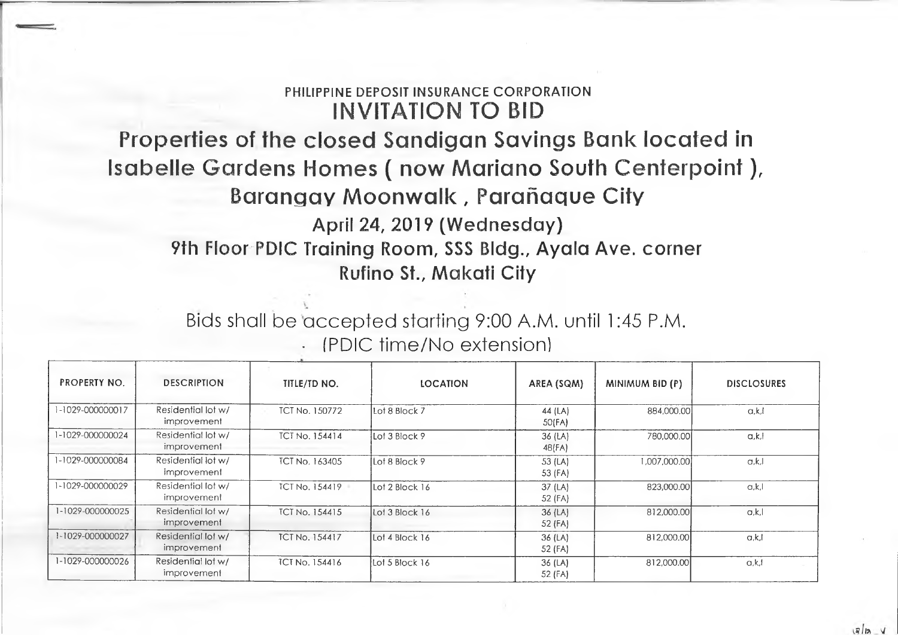## **PHILIPPINE DEPOSIT INSURANCE CORPORATION INVITATION TO BID**

## **Properties of the closed Sandigan Savings Bank located in Isabelle Gardens Homes ( now Mariano South Centerpoint), Barangay Moonwalk, Parahaque City April 24, 2019 (Wednesday) 9th Floor PDIC Training Room, SSS Bldg., Ayala Ave. corner**

**Rufino St., Makati City**

Bids shall be accepted starting 9:00 A.M. until 1:45 P.M. • (PDIC time/No extension)

| <b>PROPERTY NO.</b>  | <b>DESCRIPTION</b>                | TITLE/TD NO.          | <b>LOCATION</b> | AREA (SQM)           | MINIMUM BID (P) | <b>DISCLOSURES</b> |
|----------------------|-----------------------------------|-----------------------|-----------------|----------------------|-----------------|--------------------|
| $-1029 - 0000000017$ | Residential lot w/<br>improvement | <b>TCT No. 150772</b> | Lot 8 Block 7   | 44 (LA)<br>50(FA)    | 884,000,00      | a.k.l              |
| 1-1029-000000024     | Residential lot w/<br>improvement | <b>TCT No. 154414</b> | Lot 3 Block 9   | $36$ (LA)<br>48(FA)  | 780,000.00      | a, k, l            |
| 1-1029-000000084     | Residential lot w/<br>improvement | <b>ICI No. 163405</b> | Lot 8 Block 9   | 53 (LA)<br>53 (FA)   | 00.000.000      | a, k, l            |
| 1-1029-000000029     | Residential lot w/<br>improvement | <b>ICT No. 154419</b> | Lot 2 Block 16  | $37$ (LA)<br>52 (FA) | 823,000.00      | a.k.l              |
| 1-1029-000000025     | Residential lot w/<br>improvement | <b>TCT No. 154415</b> | Lot 3 Block 16  | $36$ (LA)<br>52 (FA) | 812,000.00      | a,k,l              |
| 1-1029-000000027     | Residential lot w/<br>improvement | <b>TCT No. 154417</b> | Lot 4 Block 16  | $36$ (LA)<br>52 (FA) | 812,000.00      | a.k.               |
| 1-1029-000000026     | Residential lot w/<br>improvement | <b>TCT No. 154416</b> | Lot 5 Block 16  | 36 (LA)<br>52 (FA)   | 812,000.00      | a.k.l              |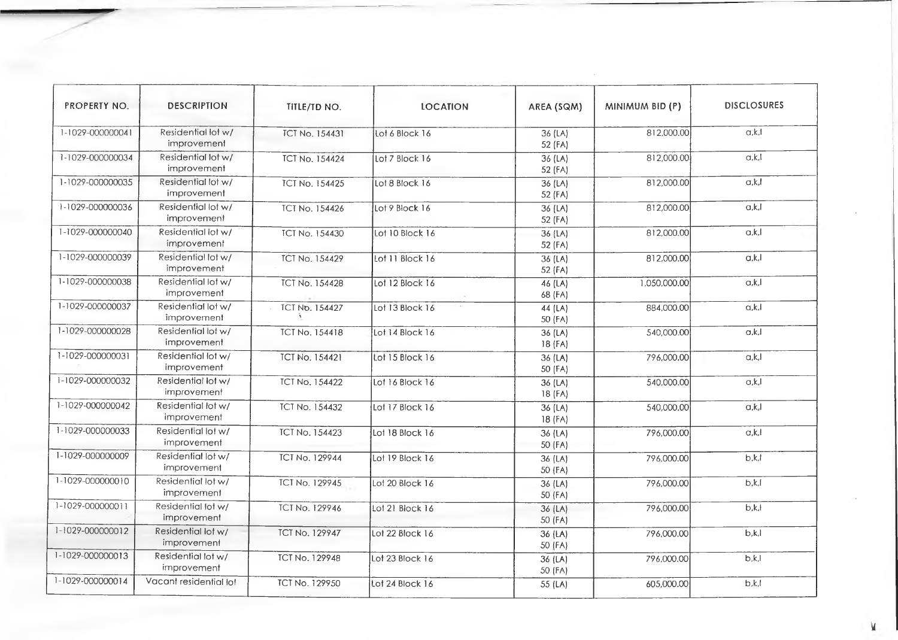| PROPERTY NO.            | <b>DESCRIPTION</b>                | TITLE/TD NO.          | <b>LOCATION</b> | AREA (SQM)           | MINIMUM BID (P) | <b>DISCLOSURES</b> |
|-------------------------|-----------------------------------|-----------------------|-----------------|----------------------|-----------------|--------------------|
| 1-1029-000000041        | Residential lot w/<br>improvement | <b>TCT No. 154431</b> | Lot 6 Block 16  | 36 (LA)<br>52 (FA)   | 812,000.00      | a, k, l            |
| 1-1029-000000034        | Residential lot w/<br>improvement | <b>TCT No. 154424</b> | Lot 7 Block 16  | $36$ (LA)<br>52 (FA) | 812,000.00      | a, k, l            |
| 1-1029-000000035        | Residential lot w/<br>improvement | <b>TCT No. 154425</b> | Lot 8 Block 16  | 36 (LA)<br>52 (FA)   | 812,000.00      | a,k,l              |
| 1-1029-000000036        | Residential lot w/<br>improvement | <b>TCT No. 154426</b> | Lot 9 Block 16  | 36 (LA)<br>52 (FA)   | 812,000.00      | a, k, l            |
| 1-1029-000000040        | Residential lot w/<br>improvement | <b>TCT No. 154430</b> | Lot 10 Block 16 | 36 (LA)<br>52 (FA)   | 812,000.00      | a,k,l              |
| 1-1029-000000039        | Residential lot w/<br>improvement | <b>TCT No. 154429</b> | Lot 11 Block 16 | 36 (LA)<br>52 (FA)   | 812,000.00      | a, k, l            |
| 1-1029-000000038        | Residential lot w/<br>improvement | <b>TCT No. 154428</b> | Lot 12 Block 16 | $46$ (LA)<br>68 (FA) | 1,050,000.00    | a, k, l            |
| 1-1029-000000037        | Residential lot w/<br>improvement | <b>TCT No. 154427</b> | Lot 13 Block 16 | 44 $(LA)$<br>50 (FA) | 884,000.00      | a,k,l              |
| 1-1029-000000028        | Residential lot w/<br>improvement | <b>TCT No. 154418</b> | Lot 14 Block 16 | 36(LA)<br>18 (FA)    | 540,000.00      | $\alpha, k, l$     |
| 1-1029-000000031        | Residential lot w/<br>improvement | <b>TCT No. 154421</b> | Lot 15 Block 16 | 36 (LA)<br>50 (FA)   | 796,000.00      | a,k,l              |
| 1-1029-000000032        | Residential lot w/<br>improvement | <b>TCT No. 154422</b> | Lot 16 Block 16 | 36(LA)<br>18 (FA)    | 540,000.00      | $\overline{a,k}$   |
| 1-1029-000000042        | Residential lot w/<br>improvement | <b>TCT No. 154432</b> | Lot 17 Block 16 | 36 (LA)<br>18 (FA)   | 540,000.00      | a,k,l              |
| 1-1029-000000033        | Residential lot w/<br>improvement | <b>TCT No. 154423</b> | Lot 18 Block 16 | 36 (LA)<br>50 (FA)   | 796,000.00      | a,k,l              |
| 1-1029-000000009        | Residential lot w/<br>improvement | <b>TCT No. 129944</b> | Lot 19 Block 16 | 36 (LA)<br>50 (FA)   | 796,000.00      | b, k, l            |
| $1 - 1029 - 0000000010$ | Residential lot w/<br>improvement | <b>ICT No. 129945</b> | Lot 20 Block 16 | 36(LA)<br>50 (FA)    | 796,000.00      | b,k,l              |
| 1-1029-000000011        | Residential lot w/<br>improvement | <b>TCT No. 129946</b> | Lot 21 Block 16 | $36$ (LA)<br>50 (FA) | 796,000.00      | b,k,               |
| 1-1029-000000012        | Residential lot w/<br>improvement | <b>TCT No. 129947</b> | Lot 22 Block 16 | 36 (LA)<br>50 (FA)   | 796,000.00      | b,k,l              |
| 1-1029-000000013        | Residential lot w/<br>improvement | <b>TCT No. 129948</b> | Lot 23 Block 16 | 36 (LA)<br>50 (FA)   | 796,000.00      | b,k,l              |
| 1-1029-000000014        | Vacant residential lot            | <b>TCT No. 129950</b> | Lot 24 Block 16 | 55 (LA)              | 605,000.00      | b.k.l              |